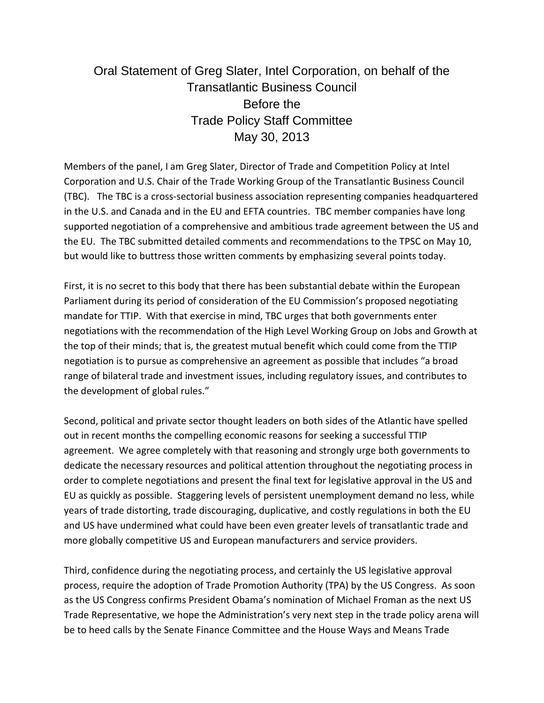## Oral Statement of Greg Slater, Intel Corporation, on behalf of the Transatlantic Business Council Before the Trade Policy Staff Committee May 30, 2013

Members of the panel, I am Greg Slater, Director of Trade and Competition Policy at Intel Corporation and U.S. Chair of the Trade Working Group of the Transatlantic Business Council (TBC). The TBC is a cross-sectorial business association representing companies headquartered in the U.S. and Canada and in the EU and EFTA countries. TBC member companies have long supported negotiation of a comprehensive and ambitious trade agreement between the US and the EU. The TBC submitted detailed comments and recommendations to the TPSC on May 10, but would like to buttress those written comments by emphasizing several points today.

First, it is no secret to this body that there has been substantial debate within the European Parliament during its period of consideration of the EU Commission's proposed negotiating mandate for TTIP. With that exercise in mind, TBC urges that both governments enter negotiations with the recommendation of the High Level Working Group on Jobs and Growth at the top of their minds; that is, the greatest mutual benefit which could come from the TTIP negotiation is to pursue as comprehensive an agreement as possible that includes "a broad range of bilateral trade and investment issues, including regulatory issues, and contributes to the development of global rules."

Second, political and private sector thought leaders on both sides of the Atlantic have spelled out in recent months the compelling economic reasons for seeking a successful TTIP agreement. We agree completely with that reasoning and strongly urge both governments to dedicate the necessary resources and political attention throughout the negotiating process in order to complete negotiations and present the final text for legislative approval in the US and EU as quickly as possible. Staggering levels of persistent unemployment demand no less, while years of trade distorting, trade discouraging, duplicative, and costly regulations in both the EU and US have undermined what could have been even greater levels of transatlantic trade and more globally competitive US and European manufacturers and service providers.

Third, confidence during the negotiating process, and certainly the US legislative approval process, require the adoption of Trade Promotion Authority (TPA) by the US Congress. As soon as the US Congress confirms President Obama's nomination of Michael Froman as the next US Trade Representative, we hope the Administration's very next step in the trade policy arena will be to heed calls by the Senate Finance Committee and the House Ways and Means Trade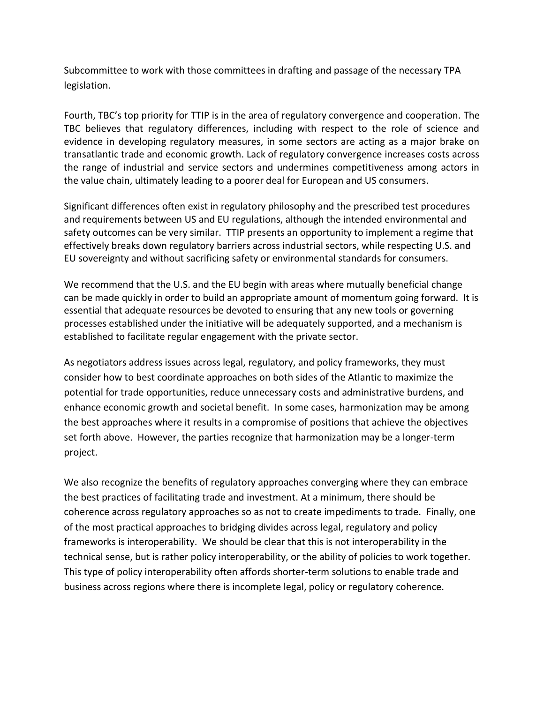Subcommittee to work with those committees in drafting and passage of the necessary TPA legislation.

Fourth, TBC's top priority for TTIP is in the area of regulatory convergence and cooperation. The TBC believes that regulatory differences, including with respect to the role of science and evidence in developing regulatory measures, in some sectors are acting as a major brake on transatlantic trade and economic growth. Lack of regulatory convergence increases costs across the range of industrial and service sectors and undermines competitiveness among actors in the value chain, ultimately leading to a poorer deal for European and US consumers.

Significant differences often exist in regulatory philosophy and the prescribed test procedures and requirements between US and EU regulations, although the intended environmental and safety outcomes can be very similar. TTIP presents an opportunity to implement a regime that effectively breaks down regulatory barriers across industrial sectors, while respecting U.S. and EU sovereignty and without sacrificing safety or environmental standards for consumers.

We recommend that the U.S. and the EU begin with areas where mutually beneficial change can be made quickly in order to build an appropriate amount of momentum going forward. It is essential that adequate resources be devoted to ensuring that any new tools or governing processes established under the initiative will be adequately supported, and a mechanism is established to facilitate regular engagement with the private sector.

As negotiators address issues across legal, regulatory, and policy frameworks, they must consider how to best coordinate approaches on both sides of the Atlantic to maximize the potential for trade opportunities, reduce unnecessary costs and administrative burdens, and enhance economic growth and societal benefit. In some cases, harmonization may be among the best approaches where it results in a compromise of positions that achieve the objectives set forth above. However, the parties recognize that harmonization may be a longer-term project.

We also recognize the benefits of regulatory approaches converging where they can embrace the best practices of facilitating trade and investment. At a minimum, there should be coherence across regulatory approaches so as not to create impediments to trade. Finally, one of the most practical approaches to bridging divides across legal, regulatory and policy frameworks is interoperability. We should be clear that this is not interoperability in the technical sense, but is rather policy interoperability, or the ability of policies to work together. This type of policy interoperability often affords shorter-term solutions to enable trade and business across regions where there is incomplete legal, policy or regulatory coherence.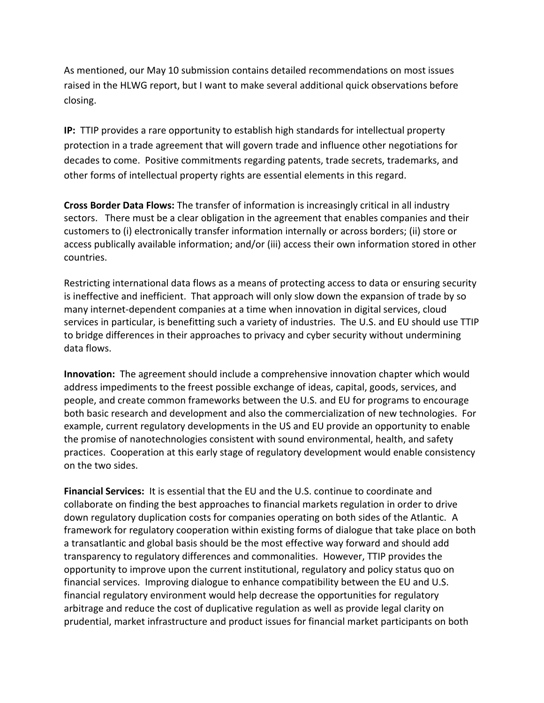As mentioned, our May 10 submission contains detailed recommendations on most issues raised in the HLWG report, but I want to make several additional quick observations before closing.

**IP:** TTIP provides a rare opportunity to establish high standards for intellectual property protection in a trade agreement that will govern trade and influence other negotiations for decades to come. Positive commitments regarding patents, trade secrets, trademarks, and other forms of intellectual property rights are essential elements in this regard.

**Cross Border Data Flows:** The transfer of information is increasingly critical in all industry sectors. There must be a clear obligation in the agreement that enables companies and their customers to (i) electronically transfer information internally or across borders; (ii) store or access publically available information; and/or (iii) access their own information stored in other countries.

Restricting international data flows as a means of protecting access to data or ensuring security is ineffective and inefficient. That approach will only slow down the expansion of trade by so many internet-dependent companies at a time when innovation in digital services, cloud services in particular, is benefitting such a variety of industries. The U.S. and EU should use TTIP to bridge differences in their approaches to privacy and cyber security without undermining data flows.

**Innovation:** The agreement should include a comprehensive innovation chapter which would address impediments to the freest possible exchange of ideas, capital, goods, services, and people, and create common frameworks between the U.S. and EU for programs to encourage both basic research and development and also the commercialization of new technologies. For example, current regulatory developments in the US and EU provide an opportunity to enable the promise of nanotechnologies consistent with sound environmental, health, and safety practices. Cooperation at this early stage of regulatory development would enable consistency on the two sides.

**Financial Services:** It is essential that the EU and the U.S. continue to coordinate and collaborate on finding the best approaches to financial markets regulation in order to drive down regulatory duplication costs for companies operating on both sides of the Atlantic. A framework for regulatory cooperation within existing forms of dialogue that take place on both a transatlantic and global basis should be the most effective way forward and should add transparency to regulatory differences and commonalities. However, TTIP provides the opportunity to improve upon the current institutional, regulatory and policy status quo on financial services. Improving dialogue to enhance compatibility between the EU and U.S. financial regulatory environment would help decrease the opportunities for regulatory arbitrage and reduce the cost of duplicative regulation as well as provide legal clarity on prudential, market infrastructure and product issues for financial market participants on both